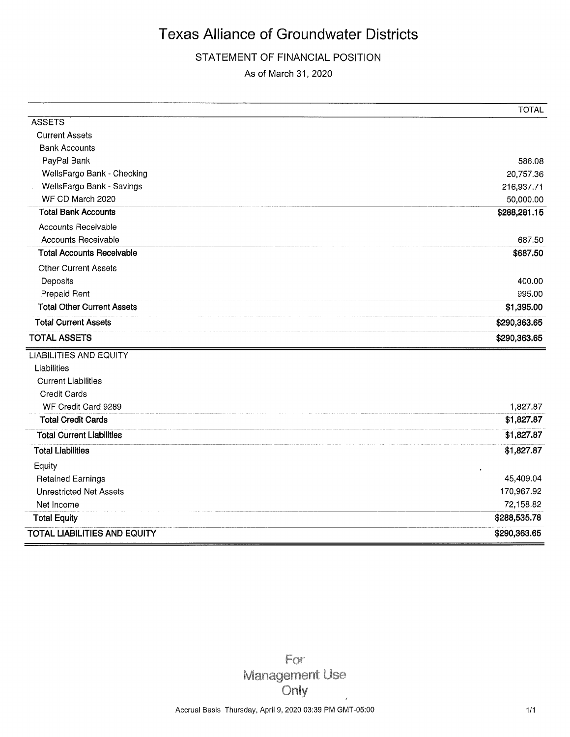### STATEMENT OF FINANCIAL POSITION

As of March 31, 2020

|                                     | <b>TOTAL</b> |
|-------------------------------------|--------------|
| <b>ASSETS</b>                       |              |
| <b>Current Assets</b>               |              |
| <b>Bank Accounts</b>                |              |
| PayPal Bank                         | 586.08       |
| WellsFargo Bank - Checking          | 20,757.36    |
| WellsFargo Bank - Savings           | 216,937.71   |
| WF CD March 2020                    | 50,000.00    |
| <b>Total Bank Accounts</b>          | \$288,281.15 |
| <b>Accounts Receivable</b>          |              |
| Accounts Receivable                 | 687.50       |
| <b>Total Accounts Receivable</b>    | \$687.50     |
| <b>Other Current Assets</b>         |              |
| Deposits                            | 400.00       |
| Prepaid Rent                        | 995.00       |
| <b>Total Other Current Assets</b>   | \$1,395.00   |
| <b>Total Current Assets</b>         | \$290,363.65 |
| <b>TOTAL ASSETS</b>                 | \$290,363.65 |
| <b>LIABILITIES AND EQUITY</b>       |              |
| Liabilities                         |              |
| <b>Current Liabilities</b>          |              |
| Credit Cards                        |              |
| WF Credit Card 9289                 | 1,827.87     |
| <b>Total Credit Cards</b>           | \$1,827.87   |
| <b>Total Current Liabilities</b>    | \$1,827.87   |
| <b>Total Liabilities</b>            | \$1,827.87   |
| Equity                              |              |
| <b>Retained Earnings</b>            | 45,409.04    |
| <b>Unrestricted Net Assets</b>      | 170,967.92   |
| Net Income                          | 72,158.82    |
| <b>Total Equity</b>                 | \$288,535.78 |
| <b>TOTAL LIABILITIES AND EQUITY</b> | \$290,363.65 |

For **Management Use** Only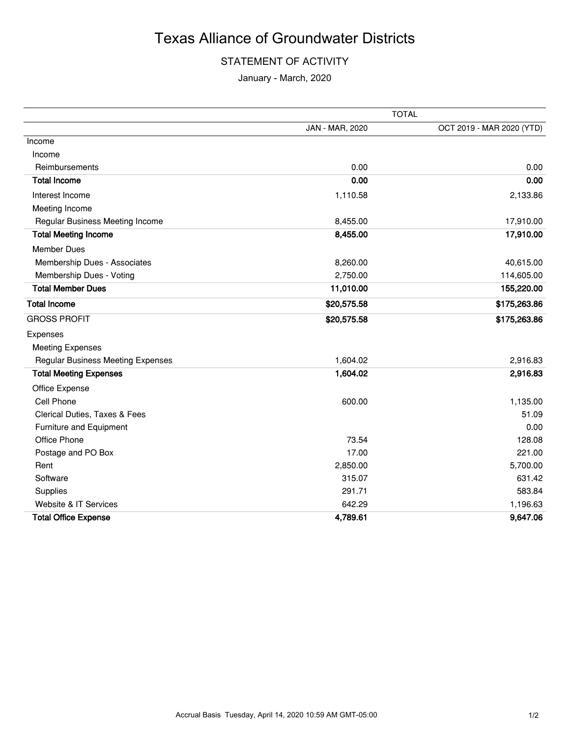### STATEMENT OF ACTIVITY

January - March, 2020

|                                          | <b>TOTAL</b>    |                           |  |
|------------------------------------------|-----------------|---------------------------|--|
|                                          | JAN - MAR, 2020 | OCT 2019 - MAR 2020 (YTD) |  |
| Income                                   |                 |                           |  |
| Income                                   |                 |                           |  |
| Reimbursements                           | 0.00            | 0.00                      |  |
| <b>Total Income</b>                      | 0.00            | 0.00                      |  |
| Interest Income                          | 1,110.58        | 2,133.86                  |  |
| Meeting Income                           |                 |                           |  |
| Regular Business Meeting Income          | 8,455.00        | 17,910.00                 |  |
| <b>Total Meeting Income</b>              | 8,455.00        | 17,910.00                 |  |
| <b>Member Dues</b>                       |                 |                           |  |
| Membership Dues - Associates             | 8,260.00        | 40,615.00                 |  |
| Membership Dues - Voting                 | 2,750.00        | 114,605.00                |  |
| <b>Total Member Dues</b>                 | 11,010.00       | 155,220.00                |  |
| <b>Total Income</b>                      | \$20,575.58     | \$175,263.86              |  |
| <b>GROSS PROFIT</b>                      | \$20,575.58     | \$175,263.86              |  |
| Expenses                                 |                 |                           |  |
| <b>Meeting Expenses</b>                  |                 |                           |  |
| <b>Regular Business Meeting Expenses</b> | 1,604.02        | 2,916.83                  |  |
| <b>Total Meeting Expenses</b>            | 1,604.02        | 2,916.83                  |  |
| Office Expense                           |                 |                           |  |
| Cell Phone                               | 600.00          | 1,135.00                  |  |
| Clerical Duties, Taxes & Fees            |                 | 51.09                     |  |
| Furniture and Equipment                  |                 | 0.00                      |  |
| Office Phone                             | 73.54           | 128.08                    |  |
| Postage and PO Box                       | 17.00           | 221.00                    |  |
| Rent                                     | 2,850.00        | 5,700.00                  |  |
| Software                                 | 315.07          | 631.42                    |  |
| Supplies                                 | 291.71          | 583.84                    |  |
| Website & IT Services                    | 642.29          | 1,196.63                  |  |
| <b>Total Office Expense</b>              | 4,789.61        | 9,647.06                  |  |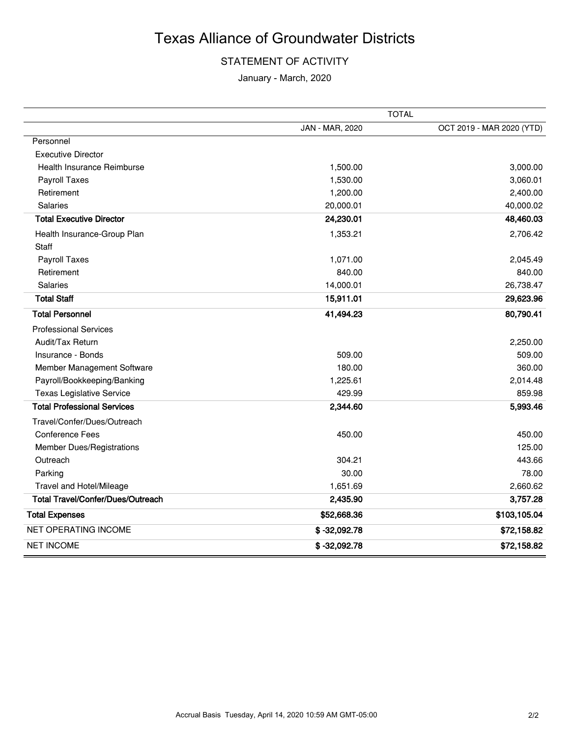### STATEMENT OF ACTIVITY

January - March, 2020

|                                          | <b>TOTAL</b>    |                           |  |
|------------------------------------------|-----------------|---------------------------|--|
|                                          | JAN - MAR, 2020 | OCT 2019 - MAR 2020 (YTD) |  |
| Personnel                                |                 |                           |  |
| <b>Executive Director</b>                |                 |                           |  |
| Health Insurance Reimburse               | 1,500.00        | 3,000.00                  |  |
| Payroll Taxes                            | 1,530.00        | 3,060.01                  |  |
| Retirement                               | 1,200.00        | 2,400.00                  |  |
| Salaries                                 | 20,000.01       | 40,000.02                 |  |
| <b>Total Executive Director</b>          | 24,230.01       | 48,460.03                 |  |
| Health Insurance-Group Plan              | 1,353.21        | 2,706.42                  |  |
| Staff                                    |                 |                           |  |
| Payroll Taxes                            | 1,071.00        | 2,045.49                  |  |
| Retirement                               | 840.00          | 840.00                    |  |
| Salaries                                 | 14,000.01       | 26,738.47                 |  |
| <b>Total Staff</b>                       | 15,911.01       | 29,623.96                 |  |
| <b>Total Personnel</b>                   | 41,494.23       | 80,790.41                 |  |
| <b>Professional Services</b>             |                 |                           |  |
| Audit/Tax Return                         |                 | 2,250.00                  |  |
| Insurance - Bonds                        | 509.00          | 509.00                    |  |
| Member Management Software               | 180.00          | 360.00                    |  |
| Payroll/Bookkeeping/Banking              | 1,225.61        | 2,014.48                  |  |
| <b>Texas Legislative Service</b>         | 429.99          | 859.98                    |  |
| <b>Total Professional Services</b>       | 2,344.60        | 5,993.46                  |  |
| Travel/Confer/Dues/Outreach              |                 |                           |  |
| <b>Conference Fees</b>                   | 450.00          | 450.00                    |  |
| <b>Member Dues/Registrations</b>         |                 | 125.00                    |  |
| Outreach                                 | 304.21          | 443.66                    |  |
| Parking                                  | 30.00           | 78.00                     |  |
| Travel and Hotel/Mileage                 | 1,651.69        | 2,660.62                  |  |
| <b>Total Travel/Confer/Dues/Outreach</b> | 2,435.90        | 3,757.28                  |  |
| <b>Total Expenses</b>                    | \$52,668.36     | \$103,105.04              |  |
| <b>NET OPERATING INCOME</b>              | $$ -32,092.78$  | \$72,158.82               |  |
| <b>NET INCOME</b>                        | $$ -32,092.78$  | \$72,158.82               |  |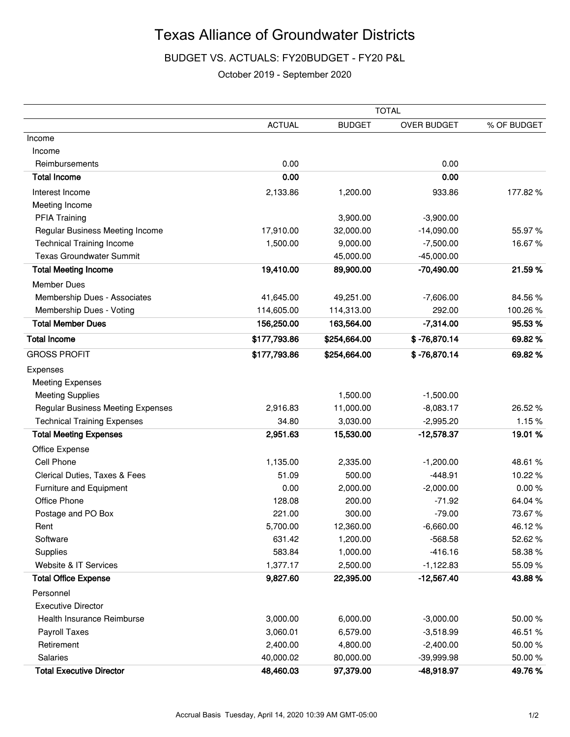### BUDGET VS. ACTUALS: FY20BUDGET - FY20 P&L

#### October 2019 - September 2020

|                                    |               | <b>TOTAL</b>  |                |             |  |
|------------------------------------|---------------|---------------|----------------|-------------|--|
|                                    | <b>ACTUAL</b> | <b>BUDGET</b> | OVER BUDGET    | % OF BUDGET |  |
| Income                             |               |               |                |             |  |
| Income                             |               |               |                |             |  |
| Reimbursements                     | 0.00          |               | 0.00           |             |  |
| <b>Total Income</b>                | 0.00          |               | 0.00           |             |  |
| Interest Income                    | 2,133.86      | 1,200.00      | 933.86         | 177.82%     |  |
| Meeting Income                     |               |               |                |             |  |
| <b>PFIA Training</b>               |               | 3,900.00      | $-3,900.00$    |             |  |
| Regular Business Meeting Income    | 17,910.00     | 32,000.00     | $-14,090.00$   | 55.97%      |  |
| <b>Technical Training Income</b>   | 1,500.00      | 9,000.00      | $-7,500.00$    | 16.67%      |  |
| <b>Texas Groundwater Summit</b>    |               | 45,000.00     | $-45,000.00$   |             |  |
| <b>Total Meeting Income</b>        | 19,410.00     | 89,900.00     | $-70,490.00$   | 21.59%      |  |
| <b>Member Dues</b>                 |               |               |                |             |  |
| Membership Dues - Associates       | 41,645.00     | 49,251.00     | $-7,606.00$    | 84.56%      |  |
| Membership Dues - Voting           | 114,605.00    | 114,313.00    | 292.00         | 100.26%     |  |
| <b>Total Member Dues</b>           | 156,250.00    | 163,564.00    | $-7,314.00$    | 95.53%      |  |
| <b>Total Income</b>                | \$177,793.86  | \$254,664.00  | $$ -76,870.14$ | 69.82%      |  |
| <b>GROSS PROFIT</b>                | \$177,793.86  | \$254,664.00  | $$ -76,870.14$ | 69.82%      |  |
| Expenses                           |               |               |                |             |  |
| <b>Meeting Expenses</b>            |               |               |                |             |  |
| <b>Meeting Supplies</b>            |               | 1,500.00      | $-1,500.00$    |             |  |
| Regular Business Meeting Expenses  | 2,916.83      | 11,000.00     | $-8,083.17$    | 26.52%      |  |
| <b>Technical Training Expenses</b> | 34.80         | 3,030.00      | $-2,995.20$    | 1.15%       |  |
| <b>Total Meeting Expenses</b>      | 2,951.63      | 15,530.00     | $-12,578.37$   | 19.01%      |  |
| Office Expense                     |               |               |                |             |  |
| Cell Phone                         | 1,135.00      | 2,335.00      | $-1,200.00$    | 48.61 %     |  |
| Clerical Duties, Taxes & Fees      | 51.09         | 500.00        | $-448.91$      | 10.22%      |  |
| Furniture and Equipment            | 0.00          | 2,000.00      | $-2,000.00$    | 0.00%       |  |
| Office Phone                       | 128.08        | 200.00        | $-71.92$       | 64.04%      |  |
| Postage and PO Box                 | 221.00        | 300.00        | $-79.00$       | 73.67%      |  |
| Rent                               | 5,700.00      | 12,360.00     | $-6,660.00$    | 46.12%      |  |
| Software                           | 631.42        | 1,200.00      | $-568.58$      | 52.62%      |  |
| Supplies                           | 583.84        | 1,000.00      | $-416.16$      | 58.38%      |  |
| Website & IT Services              | 1,377.17      | 2,500.00      | $-1,122.83$    | 55.09%      |  |
| <b>Total Office Expense</b>        | 9,827.60      | 22,395.00     | $-12,567.40$   | 43.88%      |  |
| Personnel                          |               |               |                |             |  |
| <b>Executive Director</b>          |               |               |                |             |  |
| Health Insurance Reimburse         | 3,000.00      | 6,000.00      | $-3,000.00$    | 50.00%      |  |
| Payroll Taxes                      | 3,060.01      | 6,579.00      | $-3,518.99$    | 46.51 %     |  |
| Retirement                         | 2,400.00      | 4,800.00      | $-2,400.00$    | 50.00 %     |  |
| <b>Salaries</b>                    | 40,000.02     | 80,000.00     | $-39,999.98$   | 50.00%      |  |
| <b>Total Executive Director</b>    | 48,460.03     | 97,379.00     | -48,918.97     | 49.76%      |  |